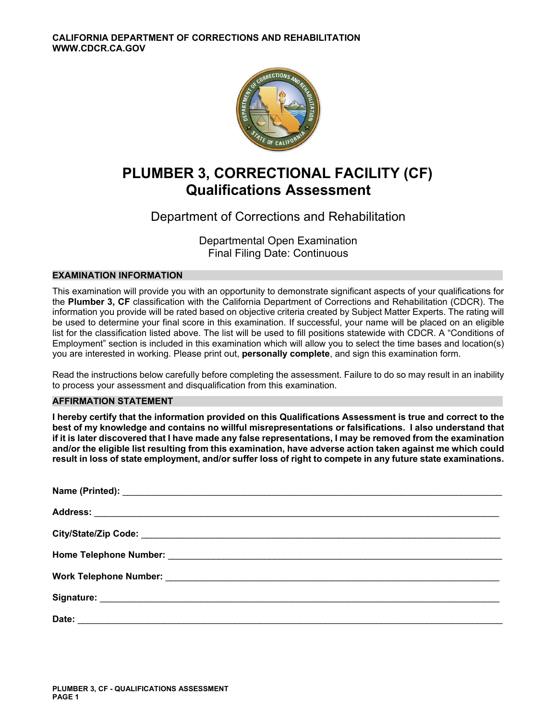

# **PLUMBER 3, CORRECTIONAL FACILITY (CF) Qualifications Assessment**

# Department of Corrections and Rehabilitation

Departmental Open Examination Final Filing Date: Continuous

# **EXAMINATION INFORMATION**

This examination will provide you with an opportunity to demonstrate significant aspects of your qualifications for the **Plumber 3, CF** classification with the California Department of Corrections and Rehabilitation (CDCR). The information you provide will be rated based on objective criteria created by Subject Matter Experts. The rating will be used to determine your final score in this examination. If successful, your name will be placed on an eligible list for the classification listed above. The list will be used to fill positions statewide with CDCR. A "Conditions of Employment" section is included in this examination which will allow you to select the time bases and location(s) you are interested in working. Please print out, **personally complete**, and sign this examination form.

Read the instructions below carefully before completing the assessment. Failure to do so may result in an inability to process your assessment and disqualification from this examination.

# **AFFIRMATION STATEMENT**

**I hereby certify that the information provided on this Qualifications Assessment is true and correct to the best of my knowledge and contains no willful misrepresentations or falsifications. I also understand that if it is later discovered that I have made any false representations, I may be removed from the examination and/or the eligible list resulting from this examination, have adverse action taken against me which could result in loss of state employment, and/or suffer loss of right to compete in any future state examinations.**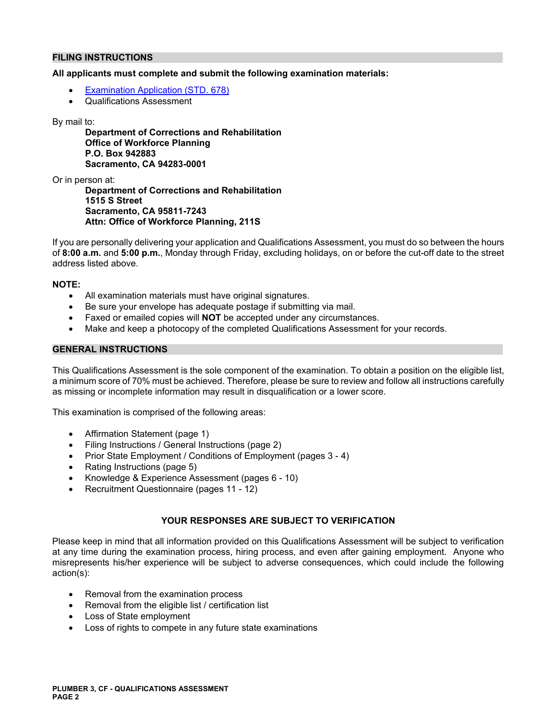## **FILING INSTRUCTIONS**

### **All applicants must complete and submit the following examination materials:**

- [Examination Application \(STD. 678\)](https://jobs.ca.gov/pdf/STD678.pdf)
- Qualifications Assessment

#### By mail to:

**Department of Corrections and Rehabilitation Office of Workforce Planning P.O. Box 942883 Sacramento, CA 94283-0001** 

Or in person at:

**Department of Corrections and Rehabilitation 1515 S Street Sacramento, CA 95811-7243 Attn: Office of Workforce Planning, 211S** 

If you are personally delivering your application and Qualifications Assessment, you must do so between the hours of **8:00 a.m.** and **5:00 p.m.**, Monday through Friday, excluding holidays, on or before the cut-off date to the street address listed above.

#### **NOTE:**

- All examination materials must have original signatures.
- Be sure your envelope has adequate postage if submitting via mail.
- Faxed or emailed copies will **NOT** be accepted under any circumstances.
- Make and keep a photocopy of the completed Qualifications Assessment for your records.

#### **GENERAL INSTRUCTIONS**

This Qualifications Assessment is the sole component of the examination. To obtain a position on the eligible list, a minimum score of 70% must be achieved. Therefore, please be sure to review and follow all instructions carefully as missing or incomplete information may result in disqualification or a lower score.

This examination is comprised of the following areas:

- Affirmation Statement (page 1)
- Filing Instructions / General Instructions (page 2)
- Prior State Employment / Conditions of Employment (pages 3 4)
- Rating Instructions (page 5)
- Knowledge & Experience Assessment (pages 6 10)
- Recruitment Questionnaire (pages 11 12)

# **YOUR RESPONSES ARE SUBJECT TO VERIFICATION**

Please keep in mind that all information provided on this Qualifications Assessment will be subject to verification at any time during the examination process, hiring process, and even after gaining employment. Anyone who misrepresents his/her experience will be subject to adverse consequences, which could include the following action(s):

- Removal from the examination process
- Removal from the eligible list / certification list
- Loss of State employment
- Loss of rights to compete in any future state examinations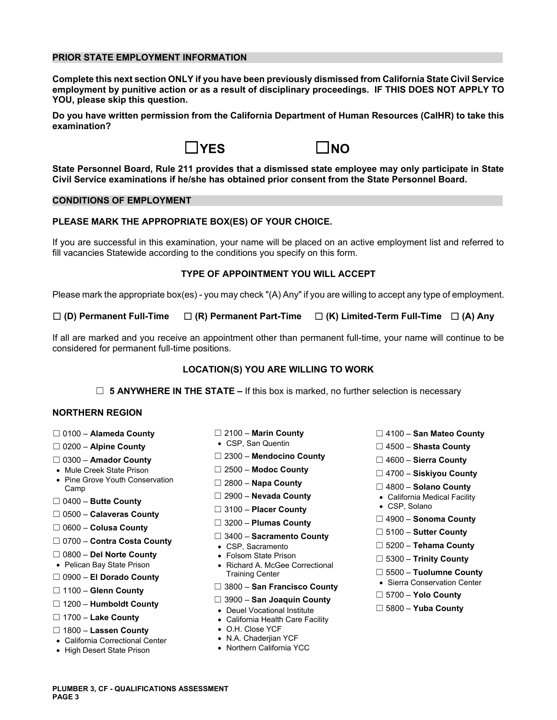### **PRIOR STATE EMPLOYMENT INFORMATION**

**Complete this next section ONLY if you have been previously dismissed from California State Civil Service employment by punitive action or as a result of disciplinary proceedings. IF THIS DOES NOT APPLY TO YOU, please skip this question.** 

**Do you have written permission from the California Department of Human Resources (CalHR) to take this examination?** 





**State Personnel Board, Rule 211 provides that a dismissed state employee may only participate in State Civil Service examinations if he/she has obtained prior consent from the State Personnel Board.** 

#### **CONDITIONS OF EMPLOYMENT**

### **PLEASE MARK THE APPROPRIATE BOX(ES) OF YOUR CHOICE.**

If you are successful in this examination, your name will be placed on an active employment list and referred to fill vacancies Statewide according to the conditions you specify on this form.

#### **TYPE OF APPOINTMENT YOU WILL ACCEPT**

Please mark the appropriate box(es) - you may check "(A) Any" if you are willing to accept any type of employment.

☐ **(D) Permanent Full-Time** ☐ **(R) Permanent Part-Time** ☐ **(K) Limited-Term Full-Time** ☐ **(A) Any** 

If all are marked and you receive an appointment other than permanent full-time, your name will continue to be considered for permanent full-time positions.

#### **LOCATION(S) YOU ARE WILLING TO WORK**

☐ **5 ANYWHERE IN THE STATE –** If this box is marked, no further selection is necessary

### **NORTHERN REGION**

- 
- 
- 
- 
- Mule Creek State Prison ☐ 2500 **Modoc County** ☐ 4700 **Siskiyou County**  Pine Grove Youth Conservation ☐ 2800 **Napa County** Camp ☐ 4800 **Solano County**  ☐ 2900 – **Nevada County** California Medical Facility ☐ 0400 – **Butte County**
- 
- ☐ **Placer County**  CSP, Solano 3100 ☐ 0500 **Calaveras County**
- 
- ☐ 0700 **Contra Costa County**  CSP, Sacramento ☐ 5200 **Tehama County**
- 
- 
- 
- 
- ☐ ☐ 3900 **San Joaquin County** 1200 **Humboldt County**  Deuel Vocational Institute ☐ 5800 **Yuba County**
- 
- ☐ 1800 **Lassen County**  O.H. Close YCF
- alifornia Correctional Center C N.A. Chaderjian YCF
- High Desert State Prison
- 
- 
- ☐ 2300 **Mendocino County** 0300 **Amador County** ☐ ☐ 4600 **Sierra County** 
	-
	-
	-
	-
	-
	-
	-
	-
- ☐ 0800 **Del Norte County**  Folsom State Prison ☐ 5300 **Trinity County**  Pelican Bay State Prison Richard A. McGee Correctional ☐ 0900 – **El Dorado County** Training Center ☐ 5500 – **Tuolumne County** Sierra Conservation Center
	- ☐ ☐ 3800 **San Francisco County**
- 1100 **Glenn County** ☐ 5700 **Yolo County** 
	-
	- California Health Care Facility
	-
	-
	-
- ☐ 0100 **Alameda County** ☐ 2100 **Marin County** ☐ 4100 **San Mateo County**
- ☐ **Alpine County**  CSP, San Quentin 0200 ☐ 4500 **Shasta County** 
	-
	-
	-
	-
	-
- ☐ ☐ 4900 **Sonoma County** 3200 **Plumas County** ☐ 0600 **Colusa County** 
	-
	- ☐ 5100 **Sutter County** 3400 **Sacramento County** ☐
		-
		-
		-
		-
		-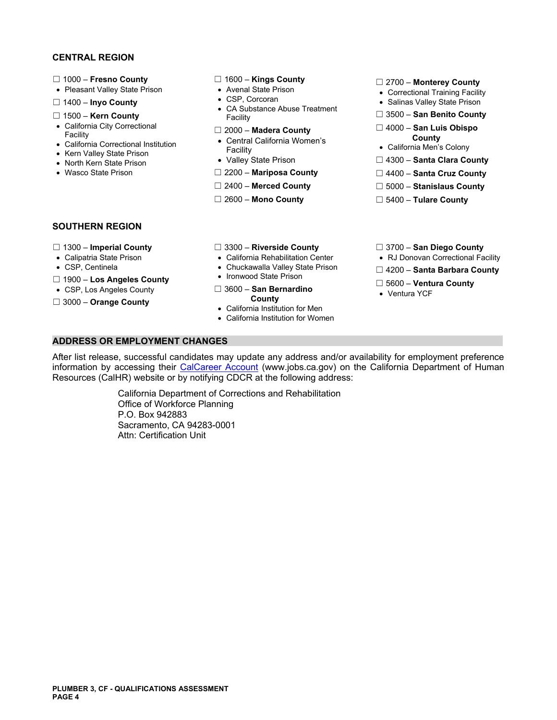### **CENTRAL REGION**

- 
- 
- 
- 
- 
- 
- 
- 
- 

- 
- 
- □ 1400 **Inyo County** <br>CA Substance Abuse Treatment **SALING SALING SALING OF SALING OF SALING SALING SALING SALING SALING SALING SALING SALING SALING SALING SALING SALING SALING SALING SALING SALING SALING SALING SALING** ☐ 1500 – **Kern County** Facility ☐ 3500 – **San Benito County** 
	-
- County<br>
California Correctional Institution California Correctional Institution California Women's<br>
Facility Facility California Men's Colony California Men's Colony<br>
North Kern State Prison Valley State Prison D 4300
	-
	-
	-
	-

- ☐ 1000 **Fresno County** ☐ 1600 **Kings County** ☐ 2700 **Monterey County**  Pleasant Valley State Prison Avenal State Prison Correctional Training Facility
	-
	-
- California City Correctional ☐ 2000 **Madera County** ☐ 4000 **San Luis Obispo** Facility lifor **County**  Central Ca nia Women's California Correctional Institution
	-
- North Kern State Prison Valley State Prison □ 4300 **Santa Clara County**
- Wasco State Prison **DEMILLE COUNTED ASSESS Mariposa County Demille Act Assessment Cruz County** 
	- ☐ 2400 **Merced County** ☐ 5000 **Stanislaus County**
	- ☐ 2600 **Mono County** ☐ 5400 **Tulare County**

### **SOUTHERN REGION**

- 
- 
- 
- 
- 
- 
- 
- 
- 
- 
- ☐ Ironwood State Prison 1900 **Los Angeles County**  ☐ 5600 **Ventura County**  CSP, Los Angeles County ☐ 3600 **San Bernardino**  Ventura YCF

• California Institution for Men California Institution for Women

- ☐ 1300 **Imperial County** ☐ 3300 **Riverside County** ☐ 3700 **San Diego County**
- Calipatria State Prison California Rehabilitation Center RJ Donovan Correctional Facility
- CSP, Centinela **Chuckawalla Valley State Prison** □ 4200 **Santa Barbara County 1000 Lee Angeles County** Ironwood State Prison
	-
	-

**ADDRESS OR EMPLOYMENT CHANGES** 

After list release, successful candidates may update any address and/or availability for employment preference information by accessing their [CalCareer Account](https://www.jobs.ca.gov/) (www.jobs.ca.gov) on the California Department of Human Resources (CalHR) website or by notifying CDCR at the following address:

> California Department of Corrections and Rehabilitation Office of Workforce Planning P.O. Box 942883 Sacramento, CA 94283-0001 Attn: Certification Unit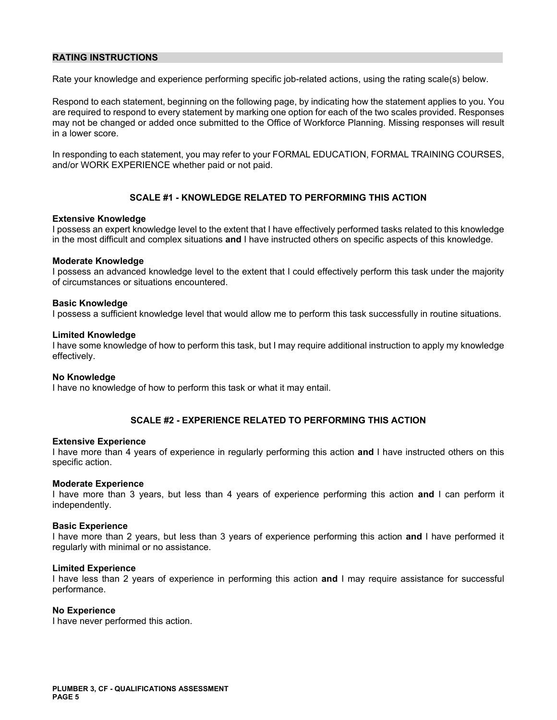## **RATING INSTRUCTIONS**

Rate your knowledge and experience performing specific job-related actions, using the rating scale(s) below.

Respond to each statement, beginning on the following page, by indicating how the statement applies to you. You are required to respond to every statement by marking one option for each of the two scales provided. Responses may not be changed or added once submitted to the Office of Workforce Planning. Missing responses will result in a lower score.

In responding to each statement, you may refer to your FORMAL EDUCATION, FORMAL TRAINING COURSES, and/or WORK EXPERIENCE whether paid or not paid.

# **SCALE #1 - KNOWLEDGE RELATED TO PERFORMING THIS ACTION**

#### **Extensive Knowledge**

I possess an expert knowledge level to the extent that I have effectively performed tasks related to this knowledge in the most difficult and complex situations **and** I have instructed others on specific aspects of this knowledge.

#### **Moderate Knowledge**

I possess an advanced knowledge level to the extent that I could effectively perform this task under the majority of circumstances or situations encountered.

#### **Basic Knowledge**

I possess a sufficient knowledge level that would allow me to perform this task successfully in routine situations.

#### **Limited Knowledge**

I have some knowledge of how to perform this task, but I may require additional instruction to apply my knowledge effectively.

#### **No Knowledge**

I have no knowledge of how to perform this task or what it may entail.

### **SCALE #2 - EXPERIENCE RELATED TO PERFORMING THIS ACTION**

#### **Extensive Experience**

I have more than 4 years of experience in regularly performing this action **and** I have instructed others on this specific action.

#### **Moderate Experience**

I have more than 3 years, but less than 4 years of experience performing this action **and** I can perform it independently.

#### **Basic Experience**

I have more than 2 years, but less than 3 years of experience performing this action **and** I have performed it regularly with minimal or no assistance.

#### **Limited Experience**

I have less than 2 years of experience in performing this action **and** I may require assistance for successful performance.

### **No Experience**

I have never performed this action.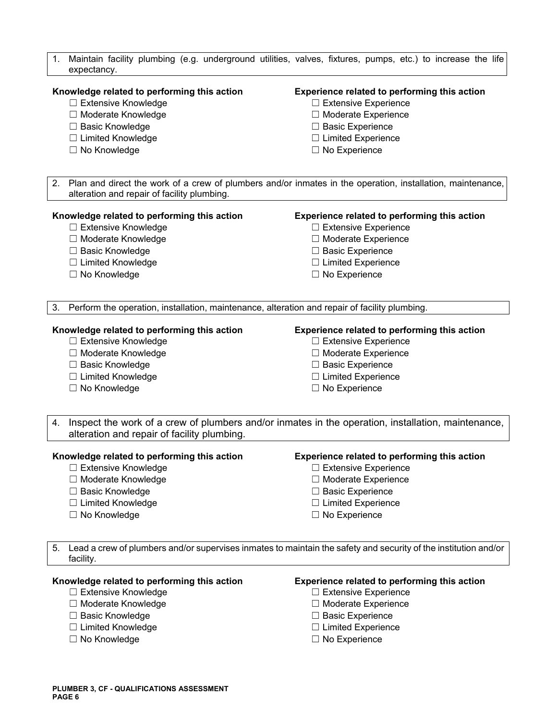|                                                                                                                 | 1. | Maintain facility plumbing (e.g. underground utilities, valves, fixtures, pumps, etc.) to increase the life |                                              |  |
|-----------------------------------------------------------------------------------------------------------------|----|-------------------------------------------------------------------------------------------------------------|----------------------------------------------|--|
|                                                                                                                 |    | expectancy.                                                                                                 |                                              |  |
|                                                                                                                 |    | Knowledge related to performing this action                                                                 | Experience related to performing this action |  |
|                                                                                                                 |    | □ Extensive Knowledge                                                                                       | $\Box$ Extensive Experience                  |  |
|                                                                                                                 |    | □ Moderate Knowledge                                                                                        | □ Moderate Experience                        |  |
|                                                                                                                 |    | □ Basic Knowledge                                                                                           | □ Basic Experience                           |  |
|                                                                                                                 |    | □ Limited Knowledge                                                                                         | $\Box$ Limited Experience                    |  |
|                                                                                                                 |    | □ No Knowledge                                                                                              | $\Box$ No Experience                         |  |
|                                                                                                                 |    |                                                                                                             |                                              |  |
|                                                                                                                 |    |                                                                                                             |                                              |  |
|                                                                                                                 | 2. | Plan and direct the work of a crew of plumbers and/or inmates in the operation, installation, maintenance,  |                                              |  |
|                                                                                                                 |    | alteration and repair of facility plumbing.                                                                 |                                              |  |
|                                                                                                                 |    | Knowledge related to performing this action                                                                 | Experience related to performing this action |  |
|                                                                                                                 |    | □ Extensive Knowledge                                                                                       | $\Box$ Extensive Experience                  |  |
|                                                                                                                 |    | □ Moderate Knowledge                                                                                        | □ Moderate Experience                        |  |
|                                                                                                                 |    | □ Basic Knowledge                                                                                           | □ Basic Experience                           |  |
|                                                                                                                 |    | □ Limited Knowledge                                                                                         | $\Box$ Limited Experience                    |  |
|                                                                                                                 |    | □ No Knowledge                                                                                              | $\Box$ No Experience                         |  |
|                                                                                                                 |    |                                                                                                             |                                              |  |
|                                                                                                                 | 3. | Perform the operation, installation, maintenance, alteration and repair of facility plumbing.               |                                              |  |
|                                                                                                                 |    |                                                                                                             |                                              |  |
| Knowledge related to performing this action                                                                     |    |                                                                                                             | Experience related to performing this action |  |
|                                                                                                                 |    | □ Extensive Knowledge                                                                                       | □ Extensive Experience                       |  |
|                                                                                                                 |    | □ Moderate Knowledge                                                                                        | □ Moderate Experience                        |  |
|                                                                                                                 |    | □ Basic Knowledge                                                                                           | □ Basic Experience                           |  |
|                                                                                                                 |    | □ Limited Knowledge                                                                                         | $\Box$ Limited Experience                    |  |
|                                                                                                                 |    | □ No Knowledge                                                                                              | $\Box$ No Experience                         |  |
|                                                                                                                 |    |                                                                                                             |                                              |  |
| Inspect the work of a crew of plumbers and/or inmates in the operation, installation, maintenance,              |    |                                                                                                             |                                              |  |
|                                                                                                                 | 4. | alteration and repair of facility plumbing.                                                                 |                                              |  |
|                                                                                                                 |    |                                                                                                             |                                              |  |
| Experience related to performing this action<br>Knowledge related to performing this action                     |    |                                                                                                             |                                              |  |
|                                                                                                                 |    | $\Box$ Extensive Knowledge                                                                                  | $\Box$ Extensive Experience                  |  |
|                                                                                                                 |    | □ Moderate Knowledge                                                                                        | □ Moderate Experience                        |  |
|                                                                                                                 |    | □ Basic Knowledge                                                                                           | □ Basic Experience                           |  |
|                                                                                                                 |    | □ Limited Knowledge                                                                                         | $\Box$ Limited Experience                    |  |
|                                                                                                                 |    | □ No Knowledge                                                                                              | $\Box$ No Experience                         |  |
|                                                                                                                 |    |                                                                                                             |                                              |  |
| Lead a crew of plumbers and/or supervises inmates to maintain the safety and security of the institution and/or |    |                                                                                                             |                                              |  |
|                                                                                                                 | 5. | facility.                                                                                                   |                                              |  |
| Knowledge related to performing this action<br>Experience related to performing this action                     |    |                                                                                                             |                                              |  |
|                                                                                                                 |    | □ Extensive Knowledge                                                                                       | $\Box$ Extensive Experience                  |  |
|                                                                                                                 |    | □ Moderate Knowledge                                                                                        | □ Moderate Experience                        |  |
|                                                                                                                 |    |                                                                                                             |                                              |  |

- 
- 
- 
- 
- ☐ Basic Knowledge ☐ Basic Experience
- ☐ Limited Knowledge ☐ Limited Experience
	- □ No Experience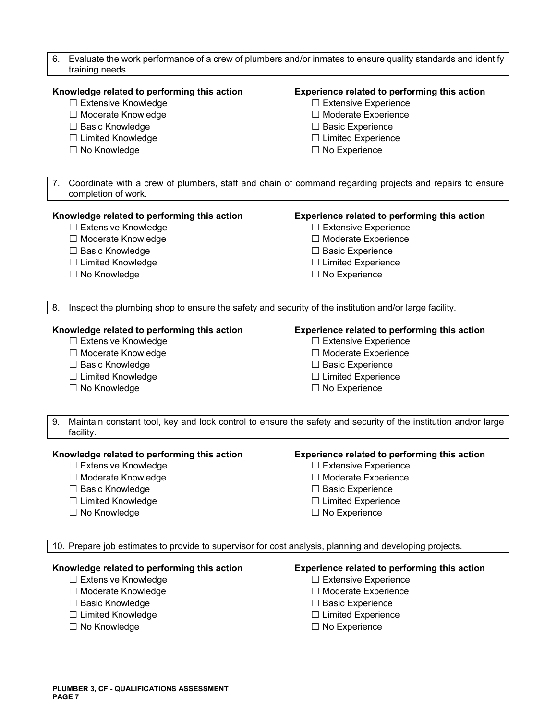- 6. Evaluate the work performance of a crew of plumbers and/or inmates to ensure quality standards and identify training needs. **Knowledge related to performing this action Experience related to performing this action**  ☐ Extensive Knowledge ☐ Extensive Experience ☐ Moderate Knowledge ☐ Moderate Experience ☐ Basic Knowledge ☐ Basic Experience ☐ Limited Knowledge ☐ Limited Experience ☐ No Knowledge ☐ No Experience 7. Coordinate with a crew of plumbers, staff and chain of command regarding projects and repairs to ensure completion of work. **Knowledge related to performing this action Experience related to performing this action**  ☐ Extensive Knowledge ☐ Extensive Experience ☐ Moderate Knowledge ☐ Moderate Experience ☐ Basic Knowledge ☐ Basic Experience ☐ Limited Knowledge ☐ Limited Experience ☐ No Knowledge ☐ No Experience 8. Inspect the plumbing shop to ensure the safety and security of the institution and/or large facility. **Knowledge related to performing this action Experience related to performing this action**  ☐ Extensive Knowledge ☐ Extensive Experience ☐ Moderate Knowledge ☐ Moderate Experience ☐ Basic Knowledge ☐ Basic Experience ☐ Limited Knowledge ☐ Limited Experience ☐ No Knowledge ☐ No Experience 9. Maintain constant tool, key and lock control to ensure the safety and security of the institution and/or large facility. **Knowledge related to performing this action Experience related to performing this action**  ☐ Extensive Knowledge ☐ Extensive Experience ☐ Moderate Knowledge ☐ Moderate Experience ☐ Basic Knowledge ☐ Basic Experience ☐ Limited Knowledge ☐ Limited Experience ☐ No Knowledge ☐ No Experience 10. Prepare job estimates to provide to supervisor for cost analysis, planning and developing projects. **Knowledge related to performing this action Experience related to performing this action**  ☐ Extensive Knowledge ☐ Extensive Experience
	- ☐ Moderate Knowledge ☐ Moderate Experience
	-
	-
	-
- 
- 
- ☐ Basic Knowledge ☐ Basic Experience
- ☐ Limited Knowledge ☐ Limited Experience
- ☐ No Knowledge ☐ No Experience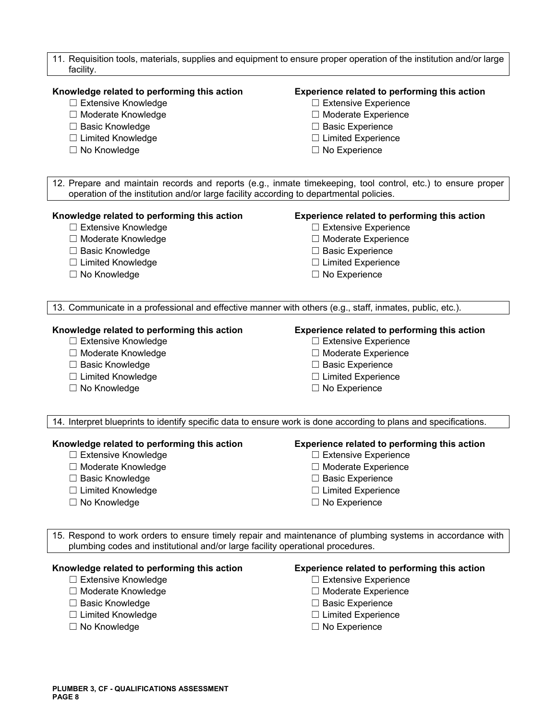| 11. Requisition tools, materials, supplies and equipment to ensure proper operation of the institution and/or large<br>facility.                                                                       |                                                                                                           |  |
|--------------------------------------------------------------------------------------------------------------------------------------------------------------------------------------------------------|-----------------------------------------------------------------------------------------------------------|--|
| Knowledge related to performing this action                                                                                                                                                            | Experience related to performing this action                                                              |  |
| $\Box$ Extensive Knowledge                                                                                                                                                                             | $\Box$ Extensive Experience                                                                               |  |
| □ Moderate Knowledge                                                                                                                                                                                   | □ Moderate Experience                                                                                     |  |
| □ Basic Knowledge                                                                                                                                                                                      | □ Basic Experience                                                                                        |  |
| □ Limited Knowledge                                                                                                                                                                                    | $\Box$ Limited Experience                                                                                 |  |
| □ No Knowledge                                                                                                                                                                                         | $\Box$ No Experience                                                                                      |  |
| 12. Prepare and maintain records and reports (e.g., inmate timekeeping, tool control, etc.) to ensure proper<br>operation of the institution and/or large facility according to departmental policies. |                                                                                                           |  |
| Knowledge related to performing this action                                                                                                                                                            | Experience related to performing this action                                                              |  |
| □ Extensive Knowledge                                                                                                                                                                                  | $\Box$ Extensive Experience                                                                               |  |
| □ Moderate Knowledge                                                                                                                                                                                   | □ Moderate Experience                                                                                     |  |
| □ Basic Knowledge                                                                                                                                                                                      | □ Basic Experience                                                                                        |  |
| □ Limited Knowledge                                                                                                                                                                                    | $\Box$ Limited Experience                                                                                 |  |
| □ No Knowledge                                                                                                                                                                                         | $\Box$ No Experience                                                                                      |  |
| 13. Communicate in a professional and effective manner with others (e.g., staff, inmates, public, etc.).                                                                                               |                                                                                                           |  |
| Knowledge related to performing this action                                                                                                                                                            | Experience related to performing this action                                                              |  |
| □ Extensive Knowledge                                                                                                                                                                                  | □ Extensive Experience                                                                                    |  |
| □ Moderate Knowledge                                                                                                                                                                                   | □ Moderate Experience                                                                                     |  |
| $\Box$ Basic Knowledge                                                                                                                                                                                 | □ Basic Experience                                                                                        |  |
| □ Limited Knowledge                                                                                                                                                                                    | $\Box$ Limited Experience                                                                                 |  |
| □ No Knowledge                                                                                                                                                                                         | $\Box$ No Experience                                                                                      |  |
| 14. Interpret blueprints to identify specific data to ensure work is done according to plans and specifications.                                                                                       |                                                                                                           |  |
| Knowledge related to performing this action                                                                                                                                                            | Experience related to performing this action                                                              |  |
| $\Box$ Extensive Knowledge                                                                                                                                                                             | $\Box$ Extensive Experience                                                                               |  |
| □ Moderate Knowledge                                                                                                                                                                                   | $\Box$ Moderate Experience                                                                                |  |
| □ Basic Knowledge                                                                                                                                                                                      | $\Box$ Basic Experience                                                                                   |  |
| □ Limited Knowledge                                                                                                                                                                                    | $\Box$ Limited Experience                                                                                 |  |
| $\Box$ No Knowledge                                                                                                                                                                                    | $\Box$ No Experience                                                                                      |  |
| plumbing codes and institutional and/or large facility operational procedures.                                                                                                                         | 15. Respond to work orders to ensure timely repair and maintenance of plumbing systems in accordance with |  |
| Knowledge related to performing this action                                                                                                                                                            | Experience related to performing this action                                                              |  |
| □ Extensive Knowledge                                                                                                                                                                                  | $\Box$ Extensive Experience                                                                               |  |
| □ Moderate Knowledge                                                                                                                                                                                   | $\Box$ Moderate Experience                                                                                |  |
| □ Basic Knowledge                                                                                                                                                                                      | <b>Basic Experience</b>                                                                                   |  |

- 
- 
- 
- ☐ Limited Knowledge ☐ Limited Experience
	- □ No Experience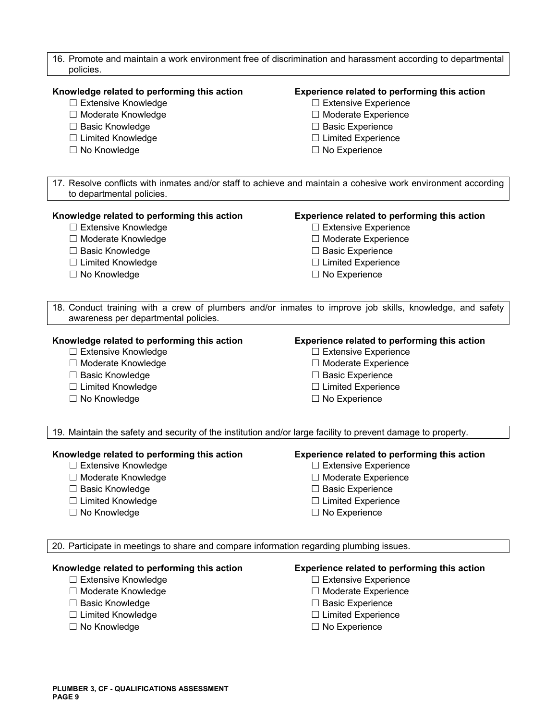| 16. Promote and maintain a work environment free of discrimination and harassment according to departmental<br>policies.                                                                           |                                                                                                                                                                                                                                                                                        |  |
|----------------------------------------------------------------------------------------------------------------------------------------------------------------------------------------------------|----------------------------------------------------------------------------------------------------------------------------------------------------------------------------------------------------------------------------------------------------------------------------------------|--|
| Knowledge related to performing this action<br>□ Extensive Knowledge<br>□ Moderate Knowledge                                                                                                       | Experience related to performing this action<br>□ Extensive Experience<br>□ Moderate Experience                                                                                                                                                                                        |  |
| □ Basic Knowledge                                                                                                                                                                                  | □ Basic Experience                                                                                                                                                                                                                                                                     |  |
| □ Limited Knowledge                                                                                                                                                                                | $\Box$ Limited Experience                                                                                                                                                                                                                                                              |  |
| □ No Knowledge                                                                                                                                                                                     | □ No Experience                                                                                                                                                                                                                                                                        |  |
| to departmental policies.                                                                                                                                                                          | 17. Resolve conflicts with inmates and/or staff to achieve and maintain a cohesive work environment according                                                                                                                                                                          |  |
| Knowledge related to performing this action                                                                                                                                                        | Experience related to performing this action                                                                                                                                                                                                                                           |  |
| □ Extensive Knowledge                                                                                                                                                                              | □ Extensive Experience                                                                                                                                                                                                                                                                 |  |
| □ Moderate Knowledge                                                                                                                                                                               | □ Moderate Experience                                                                                                                                                                                                                                                                  |  |
| □ Basic Knowledge                                                                                                                                                                                  | $\Box$ Basic Experience                                                                                                                                                                                                                                                                |  |
| □ Limited Knowledge                                                                                                                                                                                | $\Box$ Limited Experience                                                                                                                                                                                                                                                              |  |
| $\Box$ No Knowledge                                                                                                                                                                                | $\Box$ No Experience                                                                                                                                                                                                                                                                   |  |
| awareness per departmental policies.<br>Knowledge related to performing this action<br>□ Extensive Knowledge<br>□ Moderate Knowledge<br>□ Basic Knowledge<br>□ Limited Knowledge<br>□ No Knowledge | 18. Conduct training with a crew of plumbers and/or inmates to improve job skills, knowledge, and safety<br>Experience related to performing this action<br>□ Extensive Experience<br>□ Moderate Experience<br>□ Basic Experience<br>$\Box$ Limited Experience<br>$\Box$ No Experience |  |
|                                                                                                                                                                                                    |                                                                                                                                                                                                                                                                                        |  |
| 19. Maintain the safety and security of the institution and/or large facility to prevent damage to property.                                                                                       |                                                                                                                                                                                                                                                                                        |  |
| Knowledge related to performing this action                                                                                                                                                        | <b>Experience related to performing this action</b>                                                                                                                                                                                                                                    |  |
| $\Box$ Extensive Knowledge                                                                                                                                                                         | $\Box$ Extensive Experience                                                                                                                                                                                                                                                            |  |
| □ Moderate Knowledge                                                                                                                                                                               | □ Moderate Experience                                                                                                                                                                                                                                                                  |  |
| □ Basic Knowledge                                                                                                                                                                                  | $\Box$ Basic Experience                                                                                                                                                                                                                                                                |  |
| □ Limited Knowledge                                                                                                                                                                                | $\Box$ Limited Experience                                                                                                                                                                                                                                                              |  |
| □ No Knowledge                                                                                                                                                                                     | $\Box$ No Experience                                                                                                                                                                                                                                                                   |  |
| 20. Participate in meetings to share and compare information regarding plumbing issues.                                                                                                            |                                                                                                                                                                                                                                                                                        |  |
| Knowledge related to performing this action<br>□ Extensive Knowledge                                                                                                                               | Experience related to performing this action<br>$\Box$ Extensive Experience                                                                                                                                                                                                            |  |

- 
- 
- 
- 
- ☐ Moderate Knowledge ☐ Moderate Experience
	- □ Basic Experience
- ☐ Limited Knowledge ☐ Limited Experience
	- □ No Experience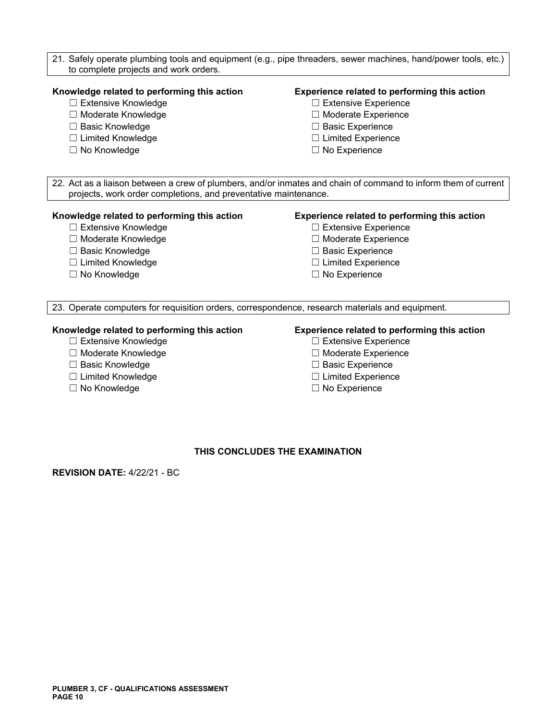21. Safely operate plumbing tools and equipment (e.g., pipe threaders, sewer machines, hand/power tools, etc.) to complete projects and work orders.

#### **Knowledge related to performing this action Experience related to performing this action**

- 
- ☐ Moderate Knowledge ☐ Moderate Experience
- ☐ Basic Knowledge ☐ Basic Experience
- ☐ Limited Knowledge ☐ Limited Experience
- 

- ☐ Extensive Knowledge ☐ Extensive Experience
	-
	-
	-
- ☐ No Knowledge ☐ No Experience

22. Act as a liaison between a crew of plumbers, and/or inmates and chain of command to inform them of current projects, work order completions, and preventative maintenance.

#### **Knowledge related to performing this action Experience related to performing this action**

- ☐ Extensive Knowledge ☐ Extensive Experience
- 
- 
- ☐ Limited Knowledge ☐ Limited Experience
- 

- 
- ☐ Moderate Knowledge ☐ Moderate Experience
- ☐ Basic Knowledge ☐ Basic Experience
	-
- ☐ No Knowledge ☐ No Experience

23. Operate computers for requisition orders, correspondence, research materials and equipment.

# **Knowledge related to performing this action Experience related to performing this action**

- ☐ Extensive Knowledge ☐ Extensive Experience
- ☐ Moderate Knowledge ☐ Moderate Experience
- ☐ Basic Knowledge ☐ Basic Experience
- ☐ Limited Knowledge ☐ Limited Experience
- ☐ No Knowledge ☐ No Experience

- 
- 
- 
- 
- 

#### **THIS CONCLUDES THE EXAMINATION**

**REVISION DATE:** 4/22/21 - BC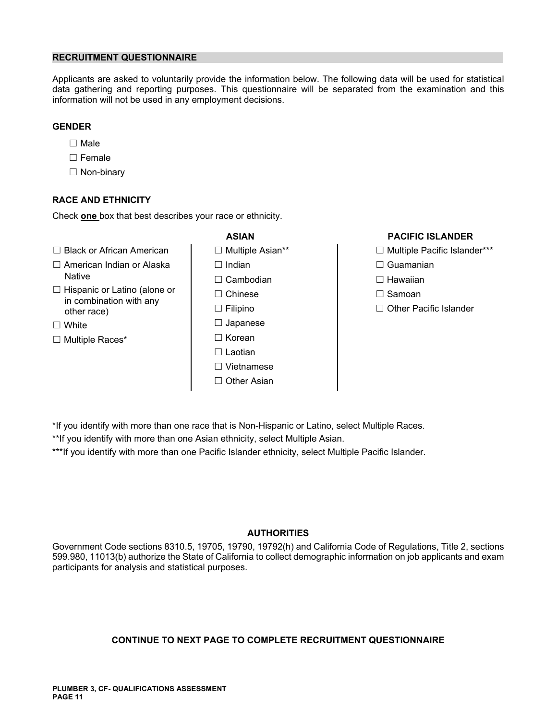# **RECRUITMENT QUESTIONNAIRE**

Applicants are asked to voluntarily provide the information below. The following data will be used for statistical data gathering and reporting purposes. This questionnaire will be separated from the examination and this information will not be used in any employment decisions.

# **GENDER**

- ☐ Male
- ☐ Female
- ☐ Non-binary

# **RACE AND ETHNICITY**

Check **one** box that best describes your race or ethnicity.

- ☐ Black or African American ☐ Multiple Asian\*\* ☐ Multiple Pacific Islander\*\*\*
- ☐ American Indian or Alaska ☐ Indian ☐ Guamanian
- ☐ Hispanic or Latino (alone or ☐ Chinese ☐ Samoan in combination with any other race) ☐ Filipino ☐ Other Pacific Islander
- 
- 
- Native ☐ Cambodian ☐ Hawaiian ☐ White ☐ Japanese ☐ Multiple Races\* ☐ Korean ☐ Laotian ☐ Vietnamese ☐ Other Asian

# **ASIAN PACIFIC ISLANDER**

- 
- 
- 
- 
- 

- \*If you identify with more than one race that is Non-Hispanic or Latino, select Multiple Races.
- \*\*If you identify with more than one Asian ethnicity, select Multiple Asian.

\*\*\*If you identify with more than one Pacific Islander ethnicity, select Multiple Pacific Islander.

### **AUTHORITIES**

Government Code sections 8310.5, 19705, 19790, 19792(h) and California Code of Regulations, Title 2, sections 599.980, 11013(b) authorize the State of California to collect demographic information on job applicants and exam participants for analysis and statistical purposes.

# **CONTINUE TO NEXT PAGE TO COMPLETE RECRUITMENT QUESTIONNAIRE**